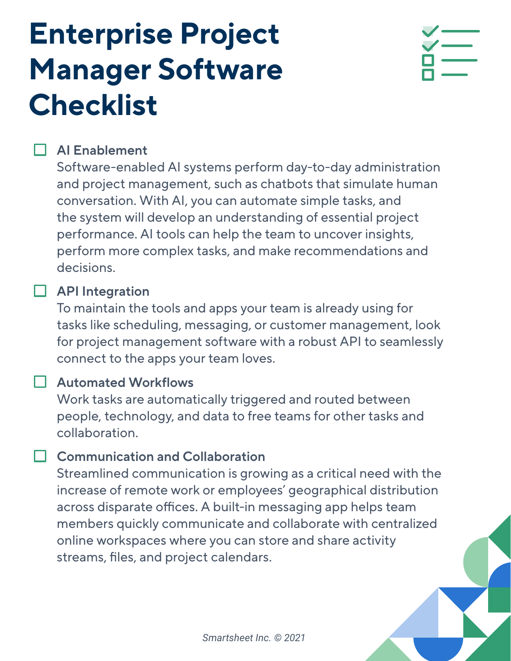# **Enterprise Project Manager Software Checklist**



## **AI Enablement**

Software-enabled AI systems perform day-to-day administration and project management, such as chatbots that simulate human conversation. With AI, you can automate simple tasks, and the system will develop an understanding of essential project performance. AI tools can help the team to uncover insights, perform more complex tasks, and make recommendations and decisions.

#### **API Integration**

To maintain the tools and apps your team is already using for tasks like scheduling, messaging, or customer management, look for project management software with a robust API to seamlessly connect to the apps your team loves.

## **Automated Workflows**

Work tasks are automatically triggered and routed between people, technology, and data to free teams for other tasks and collaboration.

## **Communication and Collaboration**

Streamlined communication is growing as a critical need with the increase of remote work or employees' geographical distribution across disparate offices. A built-in messaging app helps team members quickly communicate and collaborate with centralized online workspaces where you can store and share activity streams, files, and project calendars.

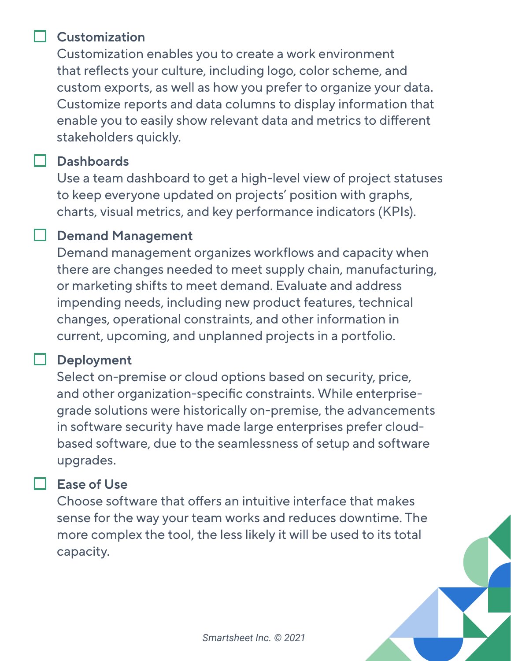#### **Customization**

Customization enables you to create a work environment that reflects your culture, including logo, color scheme, and custom exports, as well as how you prefer to organize your data. Customize reports and data columns to display information that enable you to easily show relevant data and metrics to different stakeholders quickly.

#### **Dashboards**

Use a team dashboard to get a high-level view of project statuses to keep everyone updated on projects' position with graphs, charts, visual metrics, and key performance indicators (KPIs).

#### **Demand Management**

Demand management organizes workflows and capacity when there are changes needed to meet supply chain, manufacturing, or marketing shifts to meet demand. Evaluate and address impending needs, including new product features, technical changes, operational constraints, and other information in current, upcoming, and unplanned projects in a portfolio.

#### **Deployment**

Select on-premise or cloud options based on security, price, and other organization-specific constraints. While enterprisegrade solutions were historically on-premise, the advancements in software security have made large enterprises prefer cloudbased software, due to the seamlessness of setup and software upgrades.

#### **Ease of Use**

Choose software that offers an intuitive interface that makes sense for the way your team works and reduces downtime. The more complex the tool, the less likely it will be used to its total capacity.

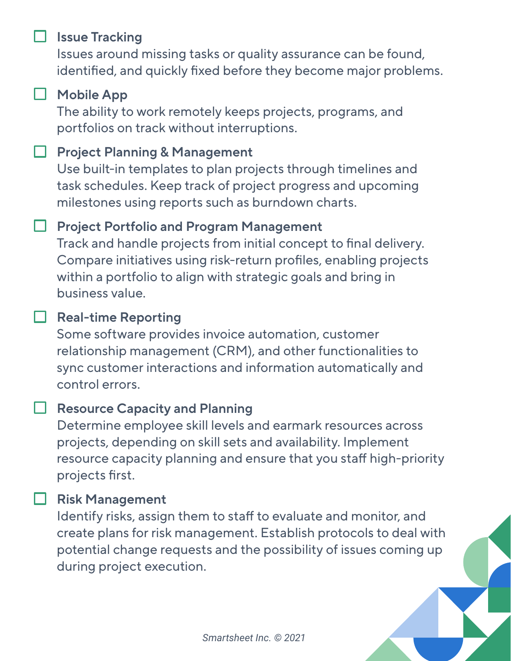#### **Issue Tracking**

Issues around missing tasks or quality assurance can be found, identified, and quickly fixed before they become major problems.

## **Mobile App**

The ability to work remotely keeps projects, programs, and portfolios on track without interruptions.

#### **Project Planning & Management**

Use built-in templates to plan projects through timelines and task schedules. Keep track of project progress and upcoming milestones using reports such as burndown charts.

## **Project Portfolio and Program Management**

Track and handle projects from initial concept to final delivery. Compare initiatives using risk-return profiles, enabling projects within a portfolio to align with strategic goals and bring in business value.

## **Real-time Reporting**

Some software provides invoice automation, customer relationship management (CRM), and other functionalities to sync customer interactions and information automatically and control errors.

#### **Resource Capacity and Planning**

Determine employee skill levels and earmark resources across projects, depending on skill sets and availability. Implement resource capacity planning and ensure that you staff high-priority projects first.

#### **Risk Management**

Identify risks, assign them to staff to evaluate and monitor, and create plans for risk management. Establish protocols to deal with potential change requests and the possibility of issues coming up during project execution.